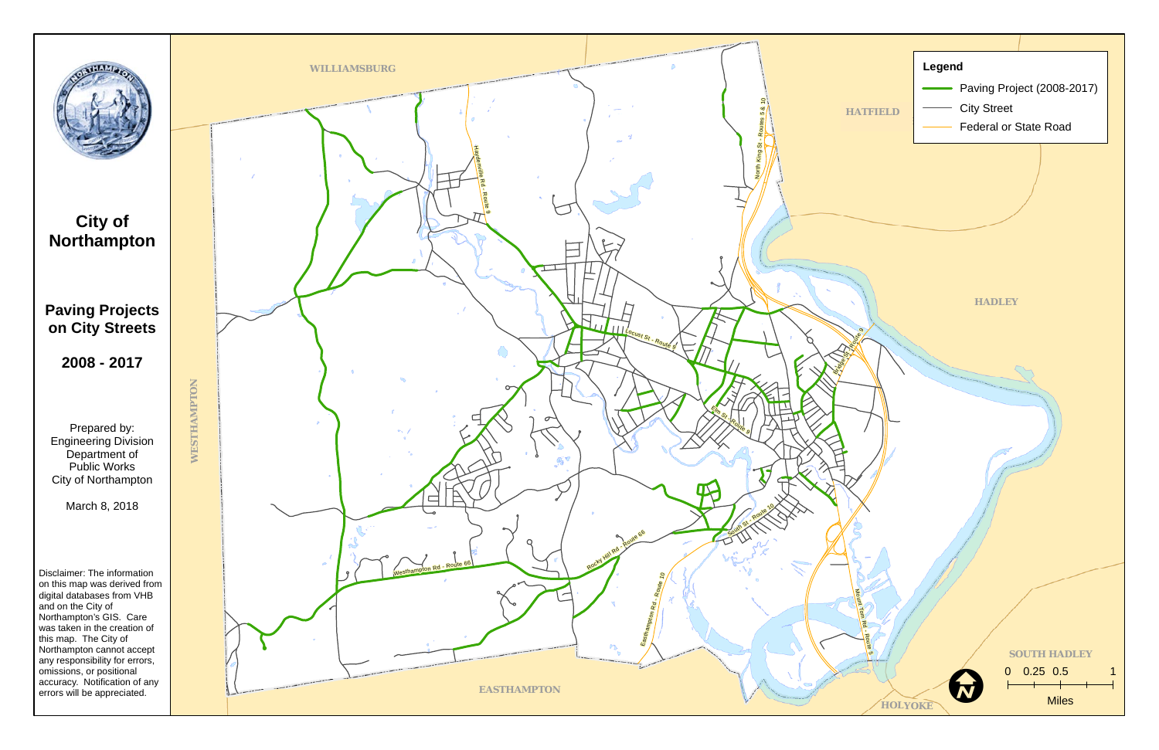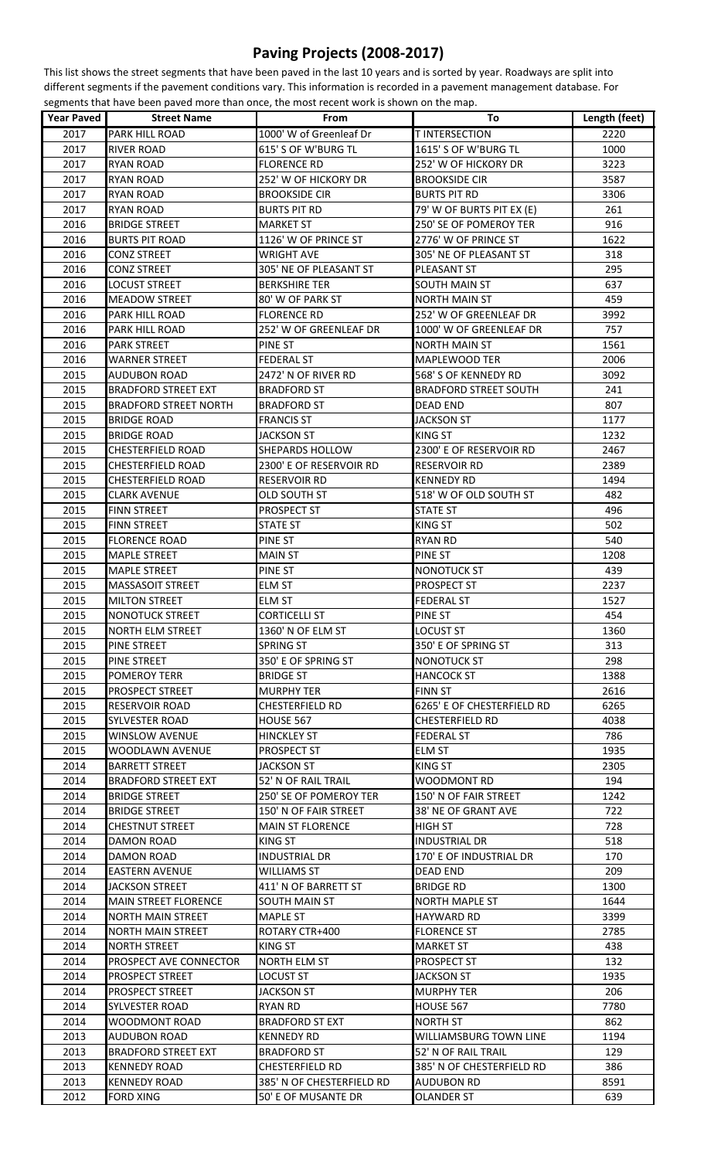## **Paving Projects (2008-2017)**

This list shows the street segments that have been paved in the last 10 years and is sorted by year. Roadways are split into different segments if the pavement conditions vary. This information is recorded in a pavement management database. For segments that have been paved more than once, the most recent work is shown on the map.

| <b>Year Paved</b> | <b>Street Name</b>            | From                      | To                           | Length (feet) |
|-------------------|-------------------------------|---------------------------|------------------------------|---------------|
| 2017              | PARK HILL ROAD                | 1000' W of Greenleaf Dr   | <b>TINTERSECTION</b>         | 2220          |
| 2017              | <b>RIVER ROAD</b>             | 615' S OF W'BURG TL       | 1615' S OF W'BURG TL         | 1000          |
| 2017              | <b>RYAN ROAD</b>              | <b>FLORENCE RD</b>        | 252' W OF HICKORY DR         | 3223          |
| 2017              | <b>RYAN ROAD</b>              | 252' W OF HICKORY DR      | <b>BROOKSIDE CIR</b>         | 3587          |
| 2017              | <b>RYAN ROAD</b>              | <b>BROOKSIDE CIR</b>      | <b>BURTS PIT RD</b>          | 3306          |
| 2017              | <b>RYAN ROAD</b>              | <b>BURTS PIT RD</b>       | 79' W OF BURTS PIT EX (E)    | 261           |
| 2016              | <b>BRIDGE STREET</b>          | <b>MARKET ST</b>          | 250' SE OF POMEROY TER       | 916           |
| 2016              | <b>BURTS PIT ROAD</b>         | 1126' W OF PRINCE ST      | 2776' W OF PRINCE ST         | 1622          |
| 2016              | <b>CONZ STREET</b>            | <b>WRIGHT AVE</b>         | 305' NE OF PLEASANT ST       | 318           |
| 2016              | <b>CONZ STREET</b>            | 305' NE OF PLEASANT ST    | PLEASANT ST                  | 295           |
| 2016              | <b>LOCUST STREET</b>          | <b>BERKSHIRE TER</b>      | SOUTH MAIN ST                | 637           |
| 2016              | <b>MEADOW STREET</b>          | 80' W OF PARK ST          | <b>NORTH MAIN ST</b>         | 459           |
| 2016              | PARK HILL ROAD                | <b>FLORENCE RD</b>        | 252' W OF GREENLEAF DR       | 3992          |
| 2016              | PARK HILL ROAD                | 252' W OF GREENLEAF DR    | 1000' W OF GREENLEAF DR      | 757           |
|                   | <b>PARK STREET</b>            |                           |                              |               |
| 2016              |                               | PINE ST                   | <b>NORTH MAIN ST</b>         | 1561          |
| 2016              | <b>WARNER STREET</b>          | <b>FEDERAL ST</b>         | MAPLEWOOD TER                | 2006          |
| 2015              | <b>AUDUBON ROAD</b>           | 2472' N OF RIVER RD       | 568' S OF KENNEDY RD         | 3092          |
| 2015              | <b>BRADFORD STREET EXT</b>    | <b>BRADFORD ST</b>        | <b>BRADFORD STREET SOUTH</b> | 241           |
| 2015              | <b>BRADFORD STREET NORTH</b>  | <b>BRADFORD ST</b>        | <b>DEAD END</b>              | 807           |
| 2015              | <b>BRIDGE ROAD</b>            | <b>FRANCIS ST</b>         | <b>JACKSON ST</b>            | 1177          |
| 2015              | <b>BRIDGE ROAD</b>            | <b>JACKSON ST</b>         | KING ST                      | 1232          |
| 2015              | <b>CHESTERFIELD ROAD</b>      | SHEPARDS HOLLOW           | 2300' E OF RESERVOIR RD      | 2467          |
| 2015              | <b>CHESTERFIELD ROAD</b>      | 2300' E OF RESERVOIR RD   | <b>RESERVOIR RD</b>          | 2389          |
| 2015              | <b>CHESTERFIELD ROAD</b>      | RESERVOIR RD              | <b>KENNEDY RD</b>            | 1494          |
| 2015              | <b>CLARK AVENUE</b>           | OLD SOUTH ST              | 518' W OF OLD SOUTH ST       | 482           |
| 2015              | <b>FINN STREET</b>            | <b>PROSPECT ST</b>        | <b>STATE ST</b>              | 496           |
| 2015              | <b>FINN STREET</b>            | <b>STATE ST</b>           | KING ST                      | 502           |
| 2015              | <b>FLORENCE ROAD</b>          | PINE ST                   | RYAN RD                      | 540           |
| 2015              | <b>MAPLE STREET</b>           | <b>MAIN ST</b>            | PINE ST                      | 1208          |
| 2015              | <b>MAPLE STREET</b>           | PINE ST                   | NONOTUCK ST                  | 439           |
| 2015              | <b>MASSASOIT STREET</b>       | <b>ELM ST</b>             | PROSPECT ST                  | 2237          |
| 2015              | <b>MILTON STREET</b>          | <b>ELM ST</b>             | <b>FEDERAL ST</b>            | 1527          |
| 2015              | <b>NONOTUCK STREET</b>        | <b>CORTICELLI ST</b>      | PINE ST                      | 454           |
| 2015              | <b>NORTH ELM STREET</b>       | 1360' N OF ELM ST         | LOCUST ST                    | 1360          |
| 2015              | PINE STREET                   | <b>SPRING ST</b>          | 350' E OF SPRING ST          | 313           |
| 2015              | PINE STREET                   | 350' E OF SPRING ST       | NONOTUCK ST                  | 298           |
| 2015              | <b>POMEROY TERR</b>           | BRIDGE ST                 | HANCOCK ST                   | 1388          |
| 2015              | <b>PROSPECT STREET</b>        | MURPHY TER                | <b>FINN ST</b>               | 2616          |
| 2015              | <b>RESERVOIR ROAD</b>         | <b>CHESTERFIELD RD</b>    | 6265' E OF CHESTERFIELD RD   | 6265          |
| 2015              | SYLVESTER ROAD                | HOUSE 567                 | CHESTERFIELD RD              | 4038          |
| 2015              | WINSLOW AVENUE                | <b>HINCKLEY ST</b>        | <b>FEDERAL ST</b>            | 786           |
| 2015              | WOODLAWN AVENUE               | PROSPECT ST               | <b>ELM ST</b>                | 1935          |
| 2014              | <b>BARRETT STREET</b>         | <b>JACKSON ST</b>         | KING ST                      | 2305          |
| 2014              | <b>BRADFORD STREET EXT</b>    | 52' N OF RAIL TRAIL       | <b>WOODMONT RD</b>           | 194           |
| 2014              | <b>BRIDGE STREET</b>          | 250' SE OF POMEROY TER    | 150' N OF FAIR STREET        | 1242          |
| 2014              | <b>BRIDGE STREET</b>          | 150' N OF FAIR STREET     | 38' NE OF GRANT AVE          | 722           |
| 2014              | <b>CHESTNUT STREET</b>        | <b>MAIN ST FLORENCE</b>   | <b>HIGH ST</b>               | 728           |
| 2014              | DAMON ROAD                    | KING ST                   | <b>INDUSTRIAL DR</b>         | 518           |
|                   |                               |                           |                              |               |
| 2014              | DAMON ROAD                    | INDUSTRIAL DR             | 170' E OF INDUSTRIAL DR      | 170           |
| 2014              | <b>EASTERN AVENUE</b>         | WILLIAMS ST               | <b>DEAD END</b>              | 209           |
| 2014              | <b>JACKSON STREET</b>         | 411' N OF BARRETT ST      | <b>BRIDGE RD</b>             | 1300          |
| 2014              | <b>MAIN STREET FLORENCE</b>   | SOUTH MAIN ST             | <b>NORTH MAPLE ST</b>        | 1644          |
| 2014              | <b>NORTH MAIN STREET</b>      | <b>MAPLE ST</b>           | <b>HAYWARD RD</b>            | 3399          |
| 2014              | <b>NORTH MAIN STREET</b>      | ROTARY CTR+400            | <b>FLORENCE ST</b>           | 2785          |
| 2014              | <b>NORTH STREET</b>           | <b>KING ST</b>            | <b>MARKET ST</b>             | 438           |
| 2014              | <b>PROSPECT AVE CONNECTOR</b> | NORTH ELM ST              | PROSPECT ST                  | 132           |
| 2014              | <b>PROSPECT STREET</b>        | LOCUST ST                 | <b>JACKSON ST</b>            | 1935          |
| 2014              | <b>PROSPECT STREET</b>        | <b>JACKSON ST</b>         | <b>MURPHY TER</b>            | 206           |
| 2014              | <b>SYLVESTER ROAD</b>         | RYAN RD                   | <b>HOUSE 567</b>             | 7780          |
| 2014              | WOODMONT ROAD                 | <b>BRADFORD ST EXT</b>    | <b>NORTH ST</b>              | 862           |
| 2013              | <b>AUDUBON ROAD</b>           | <b>KENNEDY RD</b>         | WILLIAMSBURG TOWN LINE       | 1194          |
| 2013              | <b>BRADFORD STREET EXT</b>    | BRADFORD ST               | 52' N OF RAIL TRAIL          | 129           |
| 2013              | <b>KENNEDY ROAD</b>           | <b>CHESTERFIELD RD</b>    | 385' N OF CHESTERFIELD RD    | 386           |
| 2013              | <b>KENNEDY ROAD</b>           | 385' N OF CHESTERFIELD RD | <b>AUDUBON RD</b>            | 8591          |
| 2012              | <b>FORD XING</b>              | 50' E OF MUSANTE DR       | OLANDER ST                   | 639           |